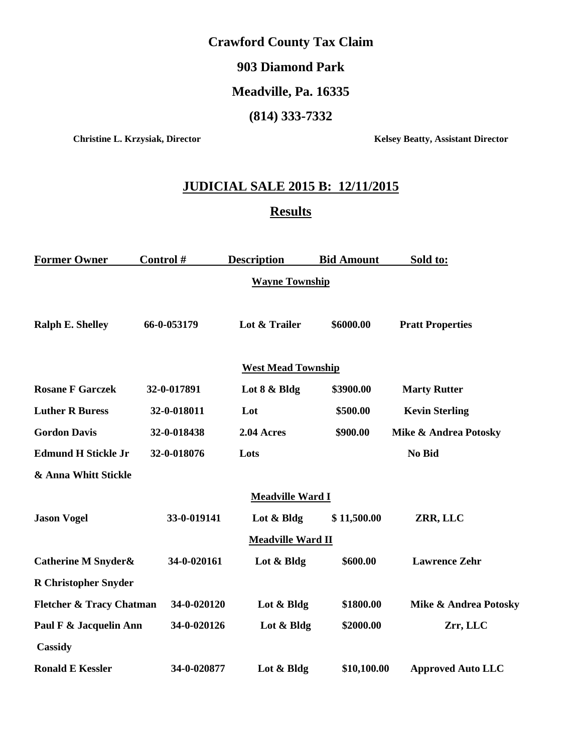#### **Crawford County Tax Claim**

#### **903 Diamond Park**

### **Meadville, Pa. 16335**

#### **(814) 333-7332**

**Christine L. Krzysiak, Director Kelsey Beatty, Assistant Director** 

# **JUDICIAL SALE 2015 B: 12/11/2015**

## **Results**

| <b>Former Owner</b>                 | Control #   | <b>Description</b>        | <b>Bid Amount</b> | Sold to:                         |
|-------------------------------------|-------------|---------------------------|-------------------|----------------------------------|
|                                     |             | <b>Wayne Township</b>     |                   |                                  |
| <b>Ralph E. Shelley</b>             | 66-0-053179 | Lot & Trailer             | \$6000.00         | <b>Pratt Properties</b>          |
|                                     |             | <b>West Mead Township</b> |                   |                                  |
| <b>Rosane F Garczek</b>             | 32-0-017891 | Lot 8 & Bldg              | \$3900.00         | <b>Marty Rutter</b>              |
| <b>Luther R Buress</b>              | 32-0-018011 | Lot                       | \$500.00          | <b>Kevin Sterling</b>            |
| <b>Gordon Davis</b>                 | 32-0-018438 | 2.04 Acres                | \$900.00          | <b>Mike &amp; Andrea Potosky</b> |
| <b>Edmund H Stickle Jr</b>          | 32-0-018076 | Lots                      |                   | No Bid                           |
| & Anna Whitt Stickle                |             |                           |                   |                                  |
|                                     |             | <b>Meadville Ward I</b>   |                   |                                  |
| <b>Jason Vogel</b>                  | 33-0-019141 | Lot & Bldg                | \$11,500.00       | ZRR, LLC                         |
|                                     |             | Meadville Ward II         |                   |                                  |
| <b>Catherine M Snyder&amp;</b>      | 34-0-020161 | Lot & Bldg                | \$600.00          | <b>Lawrence Zehr</b>             |
| <b>R</b> Christopher Snyder         |             |                           |                   |                                  |
| <b>Fletcher &amp; Tracy Chatman</b> | 34-0-020120 | Lot & Bldg                | \$1800.00         | Mike & Andrea Potosky            |
| Paul F & Jacquelin Ann              | 34-0-020126 | Lot & Bldg                | \$2000.00         | Zrr, LLC                         |
| Cassidy                             |             |                           |                   |                                  |
| <b>Ronald E Kessler</b>             | 34-0-020877 | Lot & Bldg                | \$10,100.00       | <b>Approved Auto LLC</b>         |